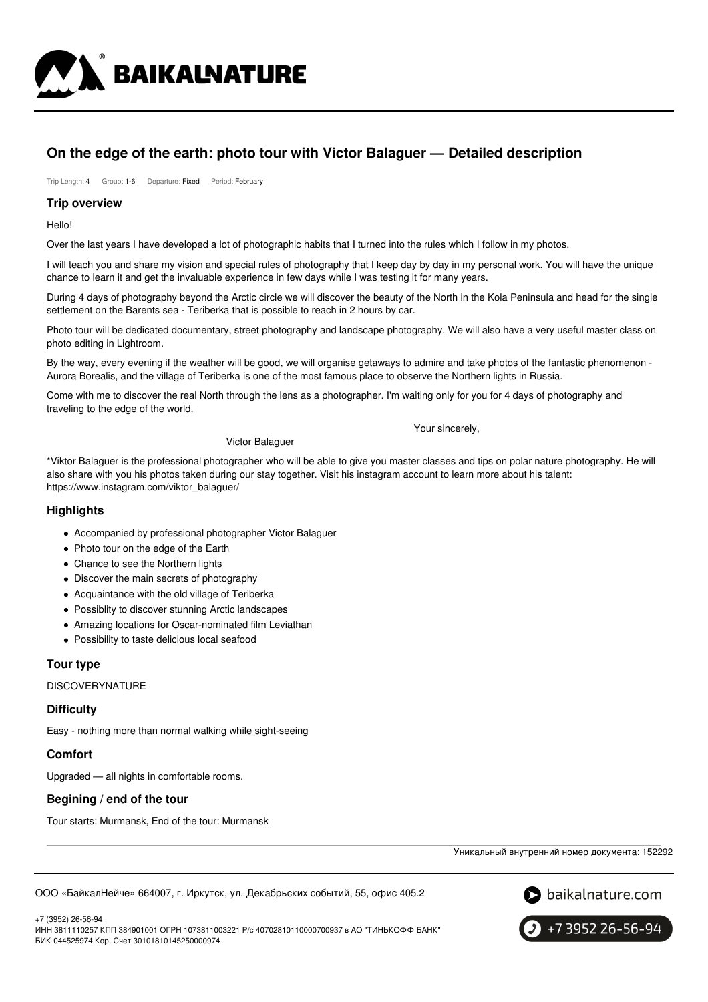

# **On the edge of the earth: photo tour with Victor Balaguer — Detailed description**

Trip Length: 4 Group: 1-6 Departure: Fixed Period: February

#### **Trip overview**

Hello!

Over the last years I have developed a lot of photographiс habits that I turned into the rules which I follow in my photos.

I will teach you and share my vision and special rules of photography that I keep day by day in my personal work. You will have the unique chance to learn it and get the invaluable experience in few days while I was testing it for many years.

During 4 days of photography beyond the Arctic circle we will discover the beauty of the North in the Kola Peninsula and head for the single settlement on the Barents sea - Teriberka that is possible to reach in 2 hours by car.

Photo tour will be dedicated documentary, street photography and landscape photography. We will also have a very useful master class on photo editing in Lightroom.

By the way, every evening if the weather will be good, we will organise getaways to admire and take photos of the fantastic phenomenon - Aurora Borealis, and the village of Teriberka is one of the most famous place to observe the Northern lights in Russia.

Come with me to discover the real North through the lens as a photographer. I'm waiting only for you for 4 days of photography and traveling to the edge of the world.

Your sincerely,

Victor Balaguer

\*Viktor Balaguer is the professional photographer who will be able to give you master classes and tips on polar nature photography. He will also share with you his photos taken during our stay together. Visit his instagram account to learn more about his talent: https://www.instagram.com/viktor\_balaguer/

# **Highlights**

- Accompanied by professional photographer Victor Balaguer
- Photo tour on the edge of the Earth
- Chance to see the Northern lights
- Discover the main secrets of photography
- Acquaintance with the old village of Teriberka
- Possiblity to discover stunning Arctic landscapes
- Amazing locations for Oscar-nominated film Leviathan
- Possibility to taste delicious local seafood

# **Tour type**

**DISCOVERYNATURE** 

#### **Difficulty**

Easy - nothing more than normal walking while sight-seeing

# **Comfort**

Upgraded — all nights in comfortable rooms.

# **Begining / end of the tour**

Tour starts: Murmansk, End of the tour: Murmansk

Уникальный внутренний номер документа: 152292

ООО «БайкалНейче» 664007, г. Иркутск, ул. Декабрьских событий, 55, офис 405.2



+7 (3952) 26-56-94

ИНН 3811110257 КПП 384901001 ОГРН 1073811003221 Р/с 40702810110000700937 в АО "ТИНЬКОФФ БАНК" БИК 044525974 Кор. Счет 30101810145250000974

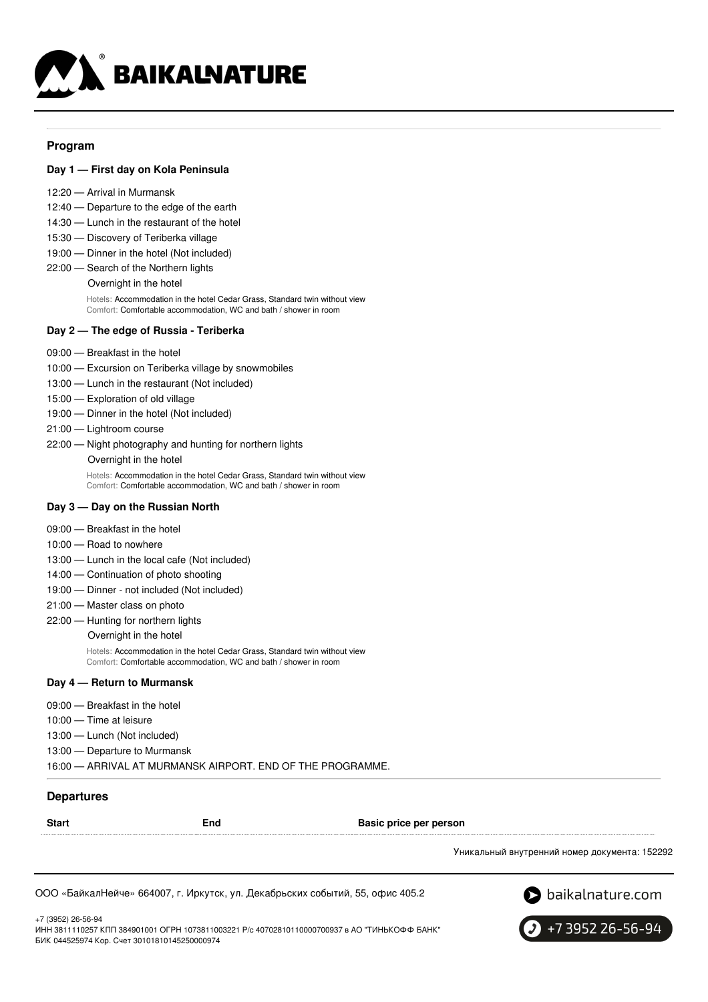

#### **Program**

#### **Day 1 — First day on Kola Peninsula**

- 12:20 Arrival in Murmansk
- 12:40 Departure to the edge of the earth
- 14:30 Lunch in the restaurant of the hotel
- 15:30 Discovery of Teriberka village
- 19:00 Dinner in the hotel (Not included)
- 22:00 Search of the Northern lights
	- Overnight in the hotel Hotels: Accommodation in the hotel Cedar Grass, Standard twin without view Comfort: Comfortable accommodation, WC and bath / shower in room

#### **Day 2 — The edge of Russia - Teriberka**

- 09:00 Breakfast in the hotel
- 10:00 Excursion on Teriberka village by snowmobiles
- 13:00 Lunch in the restaurant (Not included)
- 15:00 Exploration of old village
- 19:00 Dinner in the hotel (Not included)
- 21:00 Lightroom course
- 22:00 Night photography and hunting for northern lights
	- Overnight in the hotel

Hotels: Accommodation in the hotel Cedar Grass, Standard twin without view Comfort: Comfortable accommodation, WC and bath / shower in room

#### **Day 3 — Day on the Russian North**

- 09:00 Breakfast in the hotel
- 10:00 Road to nowhere
- 13:00 Lunch in the local cafe (Not included)
- 14:00 Continuation of photo shooting
- 19:00 Dinner not included (Not included)
- 21:00 Master class on photo
- 22:00 Hunting for northern lights

Overnight in the hotel

Hotels: Accommodation in the hotel Cedar Grass, Standard twin without view Comfort: Comfortable accommodation, WC and bath / shower in room

#### **Day 4 — Return to Murmansk**

- 09:00 Breakfast in the hotel
- 10:00 Time at leisure
- 13:00 Lunch (Not included)
- 13:00 Departure to Murmansk

16:00 — ARRIVAL AT MURMANSK AIRPORT. END OF THE PROGRAMME.

#### **Departures**

**Start End Basic price per person**

Уникальный внутренний номер документа: 152292

ООО «БайкалНейче» 664007, г. Иркутск, ул. Декабрьских событий, 55, офис 405.2



+7 (3952) 26-56-94

ИНН 3811110257 КПП 384901001 ОГРН 1073811003221 Р/с 40702810110000700937 в АО "ТИНЬКОФФ БАНК" БИК 044525974 Кор. Счет 30101810145250000974

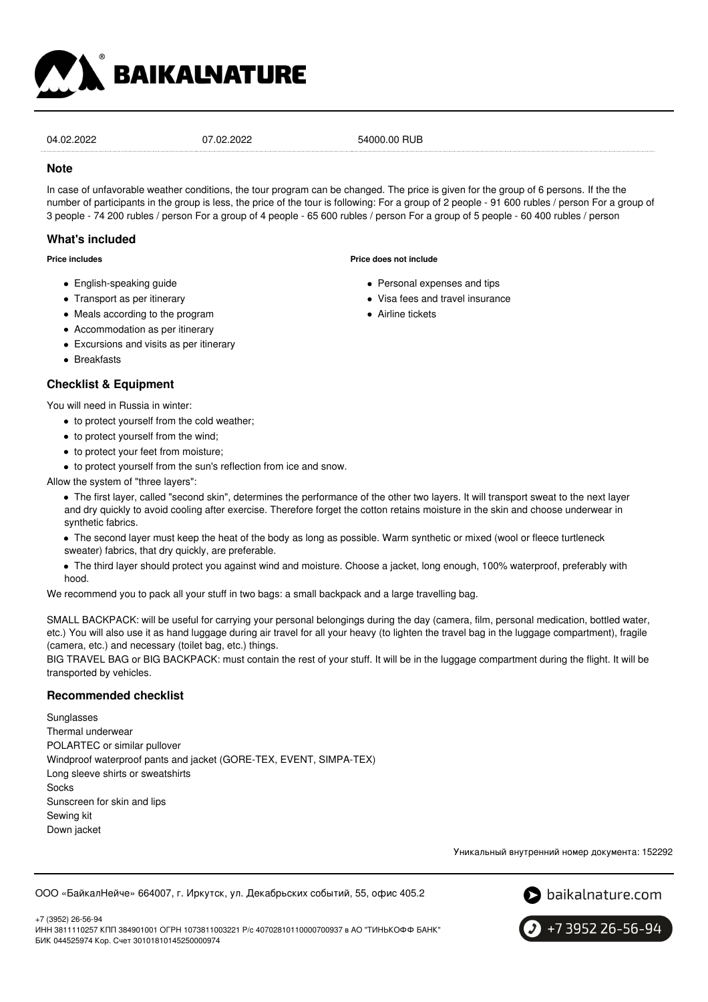

04.02.2022 07.02.2022 54000.00 RUB

#### **Note**

In case of unfavorable weather conditions, the tour program can be changed. The price is given for the group of 6 persons. If the the number of participants in the group is less, the price of the tour is following: For a group of 2 people - 91 600 rubles / person For a group of 3 people - 74 200 rubles / person For a group of 4 people - 65 600 rubles / person For a group of 5 people - 60 400 rubles / person

# **What's included**

**Price includes**

- English-speaking guide
- Transport as per itinerary
- Meals according to the program
- Accommodation as per itinerary
- Excursions and visits as per itinerary
- Breakfasts

# **Checklist & Equipment**

You will need in Russia in winter:

- to protect yourself from the cold weather;
- to protect yourself from the wind;
- to protect your feet from moisture;
- to protect yourself from the sun's reflection from ice and snow.

Allow the system of "three layers":

The first layer, called "second skin", determines the performance of the other two layers. It will transport sweat to the next layer and dry quickly to avoid cooling after exercise. Therefore forget the cotton retains moisture in the skin and choose underwear in synthetic fabrics.

The second layer must keep the heat of the body as long as possible. Warm synthetic or mixed (wool or fleece turtleneck sweater) fabrics, that dry quickly, are preferable.

The third layer should protect you against wind and moisture. Choose a jacket, long enough, 100% waterproof, preferably with hood.

We recommend you to pack all your stuff in two bags: a small backpack and a large travelling bag.

SMALL BACKPACK: will be useful for carrying your personal belongings during the day (camera, film, personal medication, bottled water, etc.) You will also use it as hand luggage during air travel for all your heavy (to lighten the travel bag in the luggage compartment), fragile (camera, etc.) and necessary (toilet bag, etc.) things.

BIG TRAVEL BAG or BIG BACKPACK: must contain the rest of your stuff. It will be in the luggage compartment during the flight. It will be transported by vehicles.

# **Recommended checklist**

Sunglasses Thermal underwear POLARTEC or similar pullover Windproof waterproof pants and jacket (GORE-TEX, EVENT, SIMPA-TEX) Long sleeve shirts or sweatshirts **Socks** Sunscreen for skin and lips Sewing kit Down jacket

Уникальный внутренний номер документа: 152292

ООО «БайкалНейче» 664007, г. Иркутск, ул. Декабрьских событий, 55, офис 405.2



+7 (3952) 26-56-94 ИНН 3811110257 КПП 384901001 ОГРН 1073811003221 Р/с 40702810110000700937 в АО "ТИНЬКОФФ БАНК" БИК 044525974 Кор. Счет 30101810145250000974



- Personal expenses and tips
- Visa fees and travel insurance
- **Airline tickets**

**Price does not include**